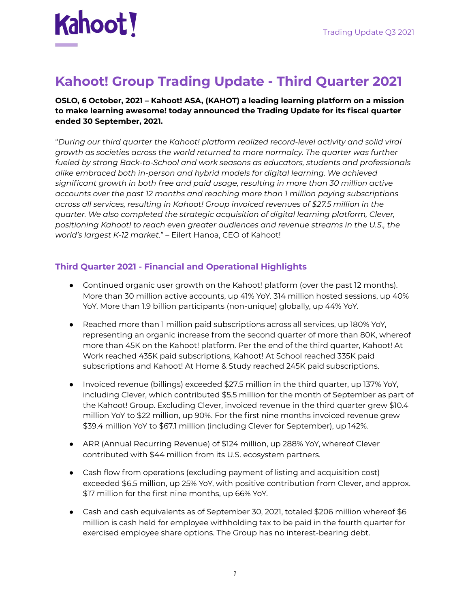# **Kahoot!**

# **Kahoot! Group Trading Update - Third Quarter 2021**

#### **OSLO, 6 October, 2021 – Kahoot! ASA, (KAHOT) a leading learning platform on a mission to make learning awesome! today announced the Trading Update for its fiscal quarter ended 30 September, 2021.**

"*During our third quarter the Kahoot! platform realized record-level activity and solid viral growth as societies across the world returned to more normalcy. The quarter was further fueled by strong Back-to-School and work seasons as educators, students and professionals alike embraced both in-person and hybrid models for digital learning. We achieved significant growth in both free and paid usage, resulting in more than 30 million active accounts over the past 12 months and reaching more than 1 million paying subscriptions across all services, resulting in Kahoot! Group invoiced revenues of \$27.5 million in the quarter. We also completed the strategic acquisition of digital learning platform, Clever, positioning Kahoot! to reach even greater audiences and revenue streams in the U.S., the world's largest K-12 market.*" – Eilert Hanoa, CEO of Kahoot!

# **Third Quarter 2021 - Financial and Operational Highlights**

- Continued organic user growth on the Kahoot! platform (over the past 12 months). More than 30 million active accounts, up 41% YoY. 314 million hosted sessions, up 40% YoY. More than 1.9 billion participants (non-unique) globally, up 44% YoY.
- Reached more than 1 million paid subscriptions across all services, up 180% YoY, representing an organic increase from the second quarter of more than 80K, whereof more than 45K on the Kahoot! platform. Per the end of the third quarter, Kahoot! At Work reached 435K paid subscriptions, Kahoot! At School reached 335K paid subscriptions and Kahoot! At Home & Study reached 245K paid subscriptions.
- Invoiced revenue (billings) exceeded \$27.5 million in the third quarter, up 137% YoY, including Clever, which contributed \$5.5 million for the month of September as part of the Kahoot! Group. Excluding Clever, invoiced revenue in the third quarter grew \$10.4 million YoY to \$22 million, up 90%. For the first nine months invoiced revenue grew \$39.4 million YoY to \$67.1 million (including Clever for September), up 142%.
- ARR (Annual Recurring Revenue) of \$124 million, up 288% YoY, whereof Clever contributed with \$44 million from its U.S. ecosystem partners.
- Cash flow from operations (excluding payment of listing and acquisition cost) exceeded \$6.5 million, up 25% YoY, with positive contribution from Clever, and approx. \$17 million for the first nine months, up 66% YoY.
- Cash and cash equivalents as of September 30, 2021, totaled \$206 million whereof \$6 million is cash held for employee withholding tax to be paid in the fourth quarter for exercised employee share options. The Group has no interest-bearing debt.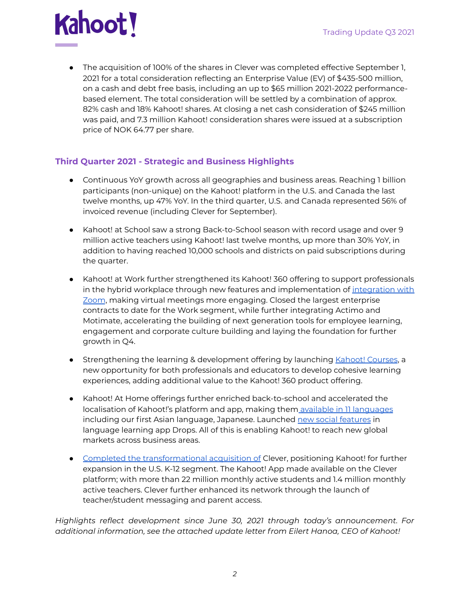

• The acquisition of 100% of the shares in Clever was completed effective September 1, 2021 for a total consideration reflecting an Enterprise Value (EV) of \$435-500 million, on a cash and debt free basis, including an up to \$65 million 2021-2022 performancebased element. The total consideration will be settled by a combination of approx. 82% cash and 18% Kahoot! shares. At closing a net cash consideration of \$245 million was paid, and 7.3 million Kahoot! consideration shares were issued at a subscription price of NOK 64.77 per share.

## **Third Quarter 2021 - Strategic and Business Highlights**

- Continuous YoY growth across all geographies and business areas. Reaching 1 billion participants (non-unique) on the Kahoot! platform in the U.S. and Canada the last twelve months, up 47% YoY. In the third quarter, U.S. and Canada represented 56% of invoiced revenue (including Clever for September).
- Kahoot! at School saw a strong Back-to-School season with record usage and over 9 million active teachers using Kahoot! last twelve months, up more than 30% YoY, in addition to having reached 10,000 schools and districts on paid subscriptions during the quarter.
- Kahoot! at Work further strengthened its Kahoot! 360 offering to support professionals in the hybrid workplace through new features and implementation of [integration](https://kahoot.com/blog/2020/10/14/kahoot-zoom-new-integration-engagement-distance-learning-video-conferencing/) with [Zoom](https://kahoot.com/blog/2020/10/14/kahoot-zoom-new-integration-engagement-distance-learning-video-conferencing/), making virtual meetings more engaging. Closed the largest enterprise contracts to date for the Work segment, while further integrating Actimo and Motimate, accelerating the building of next generation tools for employee learning, engagement and corporate culture building and laying the foundation for further growth in Q4.
- **•** Strengthening the learning & development offering by launching Kahoot! [Courses](https://kahoot.com/blog/2021/09/22/new-kahoot-courses/), a new opportunity for both professionals and educators to develop cohesive learning experiences, adding additional value to the Kahoot! 360 product offering.
- Kahoot! At Home offerings further enriched back-to-school and accelerated the localisation of Kahoot!'s platform and app, making them available in 11 [languages](https://kahoot.com/blog/2021/09/22/kahoot-more-accessible-than-ever/) including our first Asian language, Japanese. Launched new social [features](https://languagedrops.com/blog/exciting-new-updates-have-drops-ed) in language learning app Drops. All of this is enabling Kahoot! to reach new global markets across business areas.
- Completed the [transformational](https://kahoot.com/press/2021/09/02/kahoot-completes-acquisition-clever/) acquisition of Clever, positioning Kahoot! for further expansion in the U.S. K-12 segment. The Kahoot! App made available on the Clever platform; with more than 22 million monthly active students and 1.4 million monthly active teachers. Clever further enhanced its network through the launch of teacher/student messaging and parent access.

*Highlights reflect development since June 30, 2021 through today's announcement. For additional information, see the attached update letter from Eilert Hanoa, CEO of Kahoot!*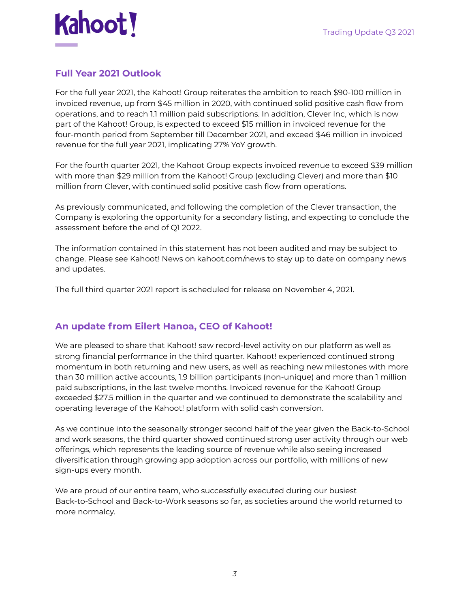# **Full Year 2021 Outlook**

For the full year 2021, the Kahoot! Group reiterates the ambition to reach \$90-100 million in invoiced revenue, up from \$45 million in 2020, with continued solid positive cash flow from operations, and to reach 1.1 million paid subscriptions. In addition, Clever Inc, which is now part of the Kahoot! Group, is expected to exceed \$15 million in invoiced revenue for the four-month period from September till December 2021, and exceed \$46 million in invoiced revenue for the full year 2021, implicating 27% YoY growth.

For the fourth quarter 2021, the Kahoot Group expects invoiced revenue to exceed \$39 million with more than \$29 million from the Kahoot! Group (excluding Clever) and more than \$10 million from Clever, with continued solid positive cash flow from operations.

As previously communicated, and following the completion of the Clever transaction, the Company is exploring the opportunity for a secondary listing, and expecting to conclude the assessment before the end of Q1 2022.

The information contained in this statement has not been audited and may be subject to change. Please see Kahoot! News on kahoot.com/news to stay up to date on company news and updates.

The full third quarter 2021 report is scheduled for release on November 4, 2021.

# **An update from Eilert Hanoa, CEO of Kahoot!**

We are pleased to share that Kahoot! saw record-level activity on our platform as well as strong financial performance in the third quarter. Kahoot! experienced continued strong momentum in both returning and new users, as well as reaching new milestones with more than 30 million active accounts, 1.9 billion participants (non-unique) and more than 1 million paid subscriptions, in the last twelve months. Invoiced revenue for the Kahoot! Group exceeded \$27.5 million in the quarter and we continued to demonstrate the scalability and operating leverage of the Kahoot! platform with solid cash conversion.

As we continue into the seasonally stronger second half of the year given the Back-to-School and work seasons, the third quarter showed continued strong user activity through our web offerings, which represents the leading source of revenue while also seeing increased diversification through growing app adoption across our portfolio, with millions of new sign-ups every month.

We are proud of our entire team, who successfully executed during our busiest Back-to-School and Back-to-Work seasons so far, as societies around the world returned to more normalcy.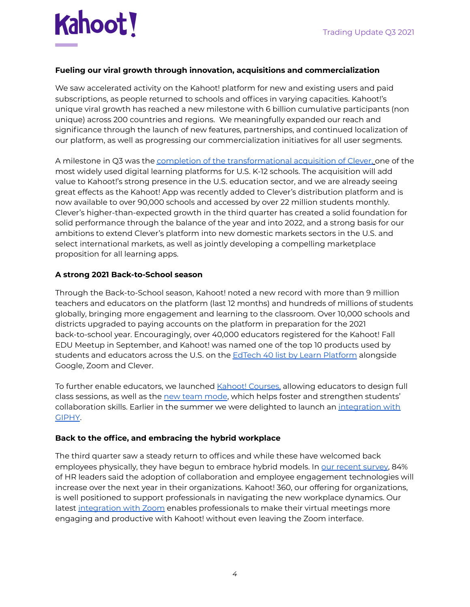

#### **Fueling our viral growth through innovation, acquisitions and commercialization**

We saw accelerated activity on the Kahoot! platform for new and existing users and paid subscriptions, as people returned to schools and offices in varying capacities. Kahoot!'s unique viral growth has reached a new milestone with 6 billion cumulative participants (non unique) across 200 countries and regions. We meaningfully expanded our reach and significance through the launch of new features, partnerships, and continued localization of our platform, as well as progressing our commercialization initiatives for all user segments.

A milestone in Q3 was the completion of the [transformational](https://kahoot.com/press/2021/09/02/kahoot-completes-acquisition-clever/) acquisition of Clever, one of the most widely used digital learning platforms for U.S. K-12 schools. The acquisition will add value to Kahoot!'s strong presence in the U.S. education sector, and we are already seeing great effects as the Kahoot! App was recently added to Clever's distribution platform and is now available to over 90,000 schools and accessed by over 22 million students monthly. Clever's higher-than-expected growth in the third quarter has created a solid foundation for solid performance through the balance of the year and into 2022, and a strong basis for our ambitions to extend Clever's platform into new domestic markets sectors in the U.S. and select international markets, as well as jointly developing a compelling marketplace proposition for all learning apps.

#### **A strong 2021 Back-to-School season**

Through the Back-to-School season, Kahoot! noted a new record with more than 9 million teachers and educators on the platform (last 12 months) and hundreds of millions of students globally, bringing more engagement and learning to the classroom. Over 10,000 schools and districts upgraded to paying accounts on the platform in preparation for the 2021 back-to-school year. Encouragingly, over 40,000 educators registered for the Kahoot! Fall EDU Meetup in September, and Kahoot! was named one of the top 10 products used by students and educators across the U.S. on the **EdTech 40 list by Learn [Platform](https://learnplatform.com/top40)** alongside Google, Zoom and Clever.

To further enable educators, we launched Kahoot! [Courses,](https://kahoot.com/blog/2021/09/22/new-kahoot-courses/) allowing educators to design full class sessions, as well as the new team [mode](https://kahoot.com/blog/2021/09/22/kahoots-new-team-mode/), which helps foster and strengthen students' collaboration skills. Earlier in the summer we were delighted to launch an [integration](https://kahoot.com/blog/2021/07/20/kahoot-integrates-giphy/) with [GIPHY](https://kahoot.com/blog/2021/07/20/kahoot-integrates-giphy/).

#### **Back to the office, and embracing the hybrid workplace**

The third quarter saw a steady return to offices and while these have welcomed back employees physically, they have begun to embrace hybrid models. In our recent [survey,](https://kahoot.com/blog/2021/09/21/kahoots-2021-workplace-culture-report-unlocking-success-in-the-hybrid-workplace/) 84% of HR leaders said the adoption of collaboration and employee engagement technologies will increase over the next year in their organizations. Kahoot! 360, our offering for organizations, is well positioned to support professionals in navigating the new workplace dynamics. Our latest [integration](https://kahoot.com/blog/2020/10/14/kahoot-zoom-new-integration-engagement-distance-learning-video-conferencing/) with Zoom enables professionals to make their virtual meetings more engaging and productive with Kahoot! without even leaving the Zoom interface.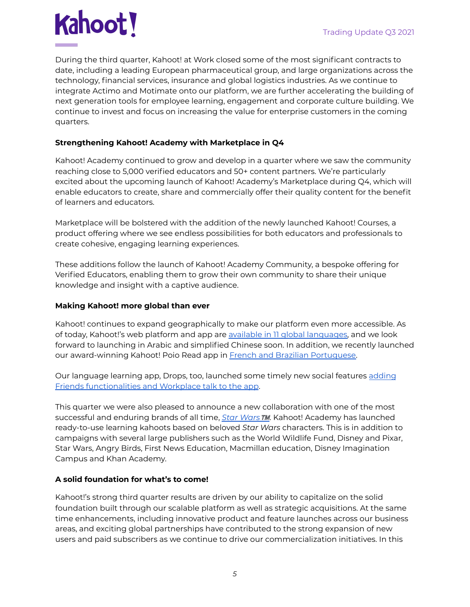

During the third quarter, Kahoot! at Work closed some of the most significant contracts to date, including a leading European pharmaceutical group, and large organizations across the technology, financial services, insurance and global logistics industries. As we continue to integrate Actimo and Motimate onto our platform, we are further accelerating the building of next generation tools for employee learning, engagement and corporate culture building. We continue to invest and focus on increasing the value for enterprise customers in the coming quarters.

#### **Strengthening Kahoot! Academy with Marketplace in Q4**

Kahoot! Academy continued to grow and develop in a quarter where we saw the community reaching close to 5,000 verified educators and 50+ content partners. We're particularly excited about the upcoming launch of Kahoot! Academy's Marketplace during Q4, which will enable educators to create, share and commercially offer their quality content for the benefit of learners and educators.

Marketplace will be bolstered with the addition of the newly launched Kahoot! Courses, a product offering where we see endless possibilities for both educators and professionals to create cohesive, engaging learning experiences.

These additions follow the launch of Kahoot! Academy Community, a bespoke offering for Verified Educators, enabling them to grow their own community to share their unique knowledge and insight with a captive audience.

#### **Making Kahoot! more global than ever**

Kahoot! continues to expand geographically to make our platform even more accessible. As of today, Kahoot!'s web platform and app are available in 11 global [languages,](https://kahoot.com/blog/2021/09/22/kahoot-more-accessible-than-ever/) and we look forward to launching in Arabic and simplified Chinese soon. In addition, we recently launched our award-winning Kahoot! Poio Read app in French and Brazilian [Portuguese.](https://kahoot.com/press/2021/08/24/poio-is-available-in-french-and-brazilian-portuguese/)

Our language learning app, Drops, too, launched some timely new social features [adding](https://languagedrops.com/blog/exciting-new-updates-have-drops-ed) Friends [functionalities](https://languagedrops.com/blog/exciting-new-updates-have-drops-ed) and Workplace talk to the app.

This quarter we were also pleased to announce a new collaboration with one of the most successful and enduring brands of all time, *Star [Wars](https://kahoot.com/press/2021/09/27/kahoot-star-wars-partnership-press-release/)*™️. Kahoot! Academy has launched ready-to-use learning kahoots based on beloved *Star Wars* characters. This is in addition to campaigns with several large publishers such as the World Wildlife Fund, Disney and Pixar, Star Wars, Angry Birds, First News Education, Macmillan education, Disney Imagination Campus and Khan Academy.

#### **A solid foundation for what's to come!**

Kahoot!'s strong third quarter results are driven by our ability to capitalize on the solid foundation built through our scalable platform as well as strategic acquisitions. At the same time enhancements, including innovative product and feature launches across our business areas, and exciting global partnerships have contributed to the strong expansion of new users and paid subscribers as we continue to drive our commercialization initiatives. In this